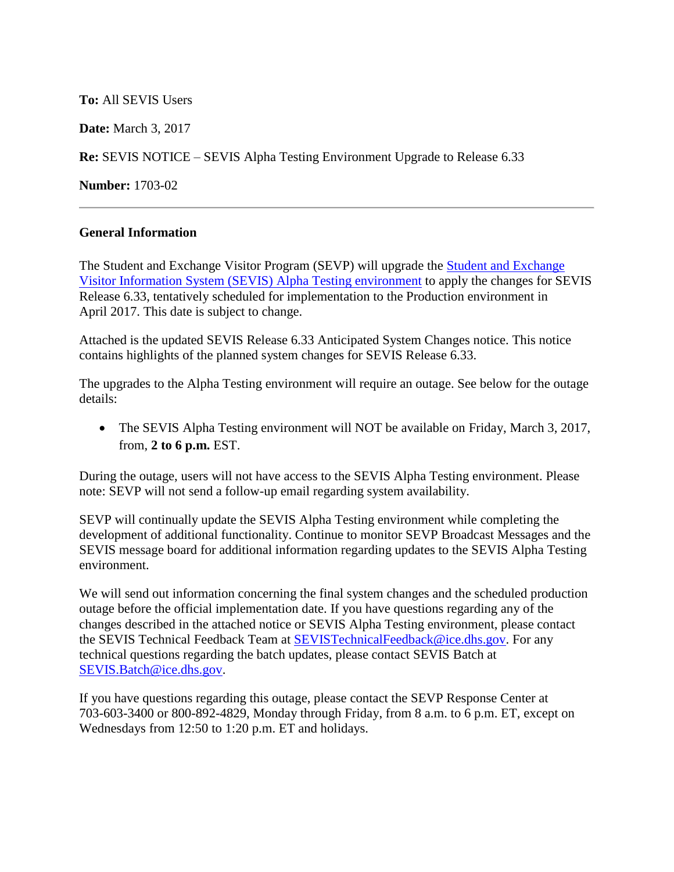**To:** All SEVIS Users

**Date:** March 3, 2017

**Re:** SEVIS NOTICE – SEVIS Alpha Testing Environment Upgrade to Release 6.33

**Number:** 1703-02

## **General Information**

The Student and Exchange Visitor Program (SEVP) will upgrade the [Student and Exchange](https://egov.ice.gov/sbtsevis/)  [Visitor Information System \(SEVIS\)](https://egov.ice.gov/sbtsevis/) [Alpha Testing environment](https://egov.ice.gov/alphasevis/) to apply the changes for SEVIS Release 6.33, tentatively scheduled for implementation to the Production environment in April 2017. This date is subject to change.

Attached is the updated SEVIS Release 6.33 Anticipated System Changes notice. This notice contains highlights of the planned system changes for SEVIS Release 6.33.

The upgrades to the Alpha Testing environment will require an outage. See below for the outage details:

 The SEVIS Alpha Testing environment will NOT be available on Friday, March 3, 2017, from, **2 to 6 p.m.** EST.

During the outage, users will not have access to the SEVIS Alpha Testing environment. Please note: SEVP will not send a follow-up email regarding system availability.

SEVP will continually update the SEVIS Alpha Testing environment while completing the development of additional functionality. Continue to monitor SEVP Broadcast Messages and the SEVIS message board for additional information regarding updates to the SEVIS Alpha Testing environment.

We will send out information concerning the final system changes and the scheduled production outage before the official implementation date. If you have questions regarding any of the changes described in the attached notice or SEVIS Alpha Testing environment, please contact the SEVIS Technical Feedback Team at [SEVISTechnicalFeedback@ice.dhs.gov.](mailto:SEVISTechnicalFeedback@ice.dhs.gov) For any technical questions regarding the batch updates, please contact SEVIS Batch at [SEVIS.Batch@ice.dhs.gov.](mailto:SEVIS.Batch@ice.dhs.gov)

If you have questions regarding this outage, please contact the SEVP Response Center at 703-603-3400 or 800-892-4829, Monday through Friday, from 8 a.m. to 6 p.m. ET, except on Wednesdays from 12:50 to 1:20 p.m. ET and holidays.